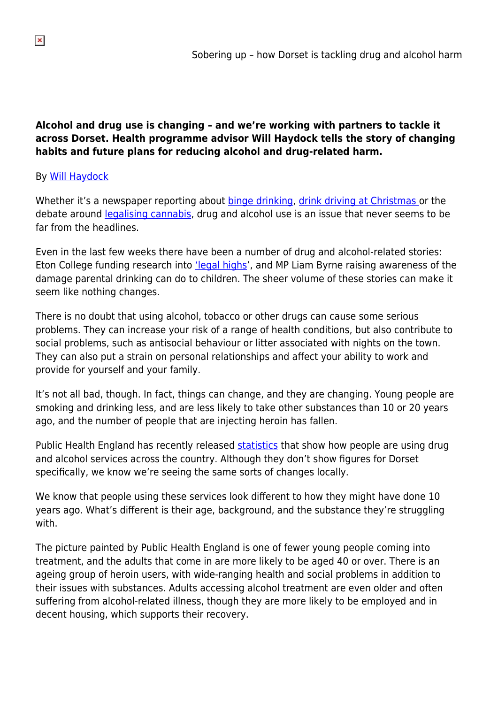## **Alcohol and drug use is changing – and we're working with partners to tackle it across Dorset. Health programme advisor Will Haydock tells the story of changing habits and future plans for reducing alcohol and drug-related harm.**

## By [Will Haydock](https://twitter.com/WilliamHaydock)

Whether it's a newspaper reporting about **[binge drinking](http://www.dailymail.co.uk/news/article-3320279/Pictured-Drunken-students-booze-soaked-bar-crawl-Manchester.html), drink driving at Christmas** or the debate around [legalising cannabis,](http://www.bbc.co.uk/programmes/b06py0lp) drug and alcohol use is an issue that never seems to be far from the headlines.

Even in the last few weeks there have been a number of drug and alcohol-related stories: Eton College funding research into *'legal highs'*, and MP Liam Byrne raising awareness of the damage parental drinking can do to children. The sheer volume of these stories can make it seem like nothing changes.

There is no doubt that using alcohol, tobacco or other drugs can cause some serious problems. They can increase your risk of a range of health conditions, but also contribute to social problems, such as antisocial behaviour or litter associated with nights on the town. They can also put a strain on personal relationships and affect your ability to work and provide for yourself and your family.

It's not all bad, though. In fact, things can change, and they are changing. Young people are smoking and drinking less, and are less likely to take other substances than 10 or 20 years ago, and the number of people that are injecting heroin has fallen.

Public Health England has recently released [statistics](https://www.gov.uk/government/news/adult-heroin-user-recovery-remains-a-challenge-in-england) that show how people are using drug and alcohol services across the country. Although they don't show figures for Dorset specifically, we know we're seeing the same sorts of changes locally.

We know that people using these services look different to how they might have done 10 years ago. What's different is their age, background, and the substance they're struggling with.

The picture painted by Public Health England is one of fewer young people coming into treatment, and the adults that come in are more likely to be aged 40 or over. There is an ageing group of heroin users, with wide-ranging health and social problems in addition to their issues with substances. Adults accessing alcohol treatment are even older and often suffering from alcohol-related illness, though they are more likely to be employed and in decent housing, which supports their recovery.

 $\pmb{\times}$